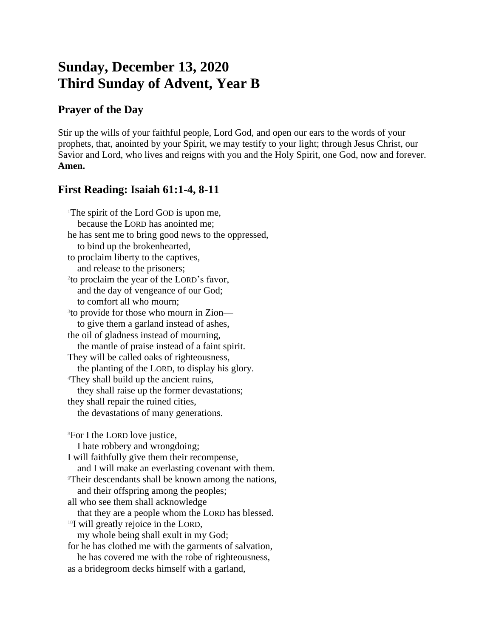# **Sunday, December 13, 2020 Third Sunday of Advent, Year B**

## **Prayer of the Day**

Stir up the wills of your faithful people, Lord God, and open our ears to the words of your prophets, that, anointed by your Spirit, we may testify to your light; through Jesus Christ, our Savior and Lord, who lives and reigns with you and the Holy Spirit, one God, now and forever. **Amen.**

## **First Reading: Isaiah 61:1-4, 8-11**

<sup>1</sup>The spirit of the Lord GOD is upon me, because the LORD has anointed me; he has sent me to bring good news to the oppressed, to bind up the brokenhearted, to proclaim liberty to the captives, and release to the prisoners; 2 to proclaim the year of the LORD's favor, and the day of vengeance of our God; to comfort all who mourn; 3 to provide for those who mourn in Zion to give them a garland instead of ashes, the oil of gladness instead of mourning, the mantle of praise instead of a faint spirit. They will be called oaks of righteousness, the planting of the LORD, to display his glory. <sup>4</sup>They shall build up the ancient ruins, they shall raise up the former devastations; they shall repair the ruined cities, the devastations of many generations. <sup>8</sup>For I the LORD love justice, I hate robbery and wrongdoing; I will faithfully give them their recompense, and I will make an everlasting covenant with them. <sup>9</sup>Their descendants shall be known among the nations, and their offspring among the peoples; all who see them shall acknowledge that they are a people whom the LORD has blessed. <sup>10</sup>I will greatly rejoice in the LORD, my whole being shall exult in my God; for he has clothed me with the garments of salvation, he has covered me with the robe of righteousness, as a bridegroom decks himself with a garland,